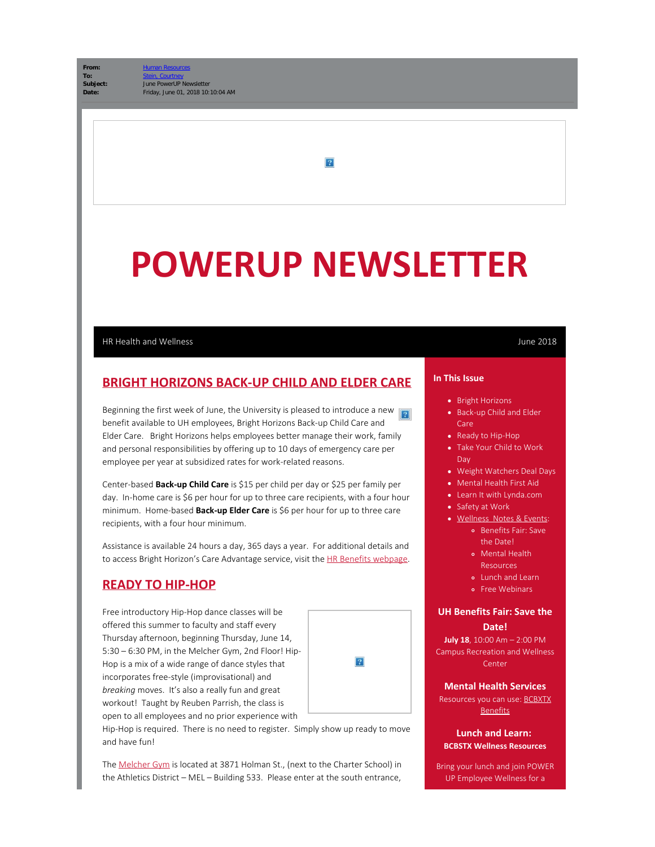$|2|$ 

# **POWERUP NEWSLETTER**

#### HR Health and Wellness **All and Weller Struck and Wells** and Weller Struck and Weller Struck and Weller Struck and Weller Struck and Weller Struck and Weller Struck and Weller Struck and Weller Struck and Weller Struck and

# **BRIGHT HORIZONS BACK-UP CHILD AND ELDER CARE**

Beginning the first week of June, the University is pleased to introduce a new  $\sqrt{2}$ benefit available to UH employees, Bright Horizons Back-up Child Care and Elder Care. Bright Horizons helps employees better manage their work, family and personal responsibilities by offering up to 10 days of emergency care per employee per year at subsidized rates for work-related reasons.

Center-based **Back-up Child Care** is \$15 per child per day or \$25 per family per day. In-home care is \$6 per hour for up to three care recipients, with a four hour minimum. Home-based **Back-up Elder Care** is \$6 per hour for up to three care recipients, with a four hour minimum.

Assistance is available 24 hours a day, 365 days a year. For additional details and to access Bright Horizon's Care Advantage service, visit the [HR Benefits webpage](https://cloudapps.uh.edu/sendit/l/aQWIL5Hvz8MebkJzITqY6A/H0iOT6zBpodFfBD1XPS8Tw/9LuN3h7s83LPzmivThAofQ).

# **READY TO HIP-HOP**

Free introductory Hip-Hop dance classes will be offered this summer to faculty and staff every Thursday afternoon, beginning Thursday, June 14, 5:30 – 6:30 PM, in the Melcher Gym, 2nd Floor! Hip-Hop is a mix of a wide range of dance styles that incorporates free-style (improvisational) and *breaking* moves. It's also a really fun and great workout! Taught by Reuben Parrish, the class is open to all employees and no prior experience with



Hip-Hop is required. There is no need to register. Simply show up ready to move and have fun!

The [Melcher Gym](https://cloudapps.uh.edu/sendit/l/aQWIL5Hvz8MebkJzITqY6A/Xd892fz4a0NH2wQykpBNaYLw/9LuN3h7s83LPzmivThAofQ) is located at 3871 Holman St., (next to the Charter School) in the Athletics District – MEL – Building 533. Please enter at the south entrance,

#### **In This Issue**

- Bright Horizons
- Back-up Child and Elder Care
- Ready to Hip-Hop
- Take Your Child to Work Day
- Weight Watchers Deal Days
- Mental Health First Aid
- Learn It with Lynda.com
- Safety at Work
- Wellness Notes & Events:
	- Benefits Fair: Save the Date!
	- Mental Health
		- Resources
	- Lunch and Learn
	- Free Webinars

## **UH Benefits Fair: Save the**

#### **Date!**

**July 18**, 10:00 Am – 2:00 PM Campus Recreation and Wellness Center

#### **Mental Health Services**

Resources you can use: [BCBXTX](https://cloudapps.uh.edu/sendit/l/aQWIL5Hvz8MebkJzITqY6A/bf3C2xH34RmbcwBSRt0k7w/9LuN3h7s83LPzmivThAofQ) **[Benefits](https://cloudapps.uh.edu/sendit/l/aQWIL5Hvz8MebkJzITqY6A/bf3C2xH34RmbcwBSRt0k7w/9LuN3h7s83LPzmivThAofQ)** 

#### **Lunch and Learn: BCBSTX Wellness Resources**

Bring your lunch and join POWER UP Employee Wellness for a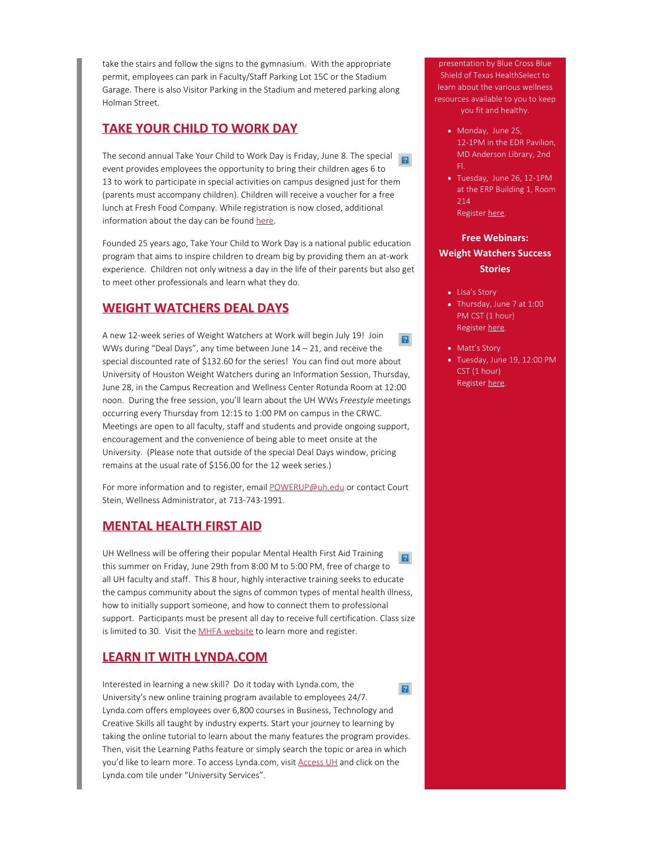take the stairs and follow the signs to the gymnasium. With the appropriate permit, employees can park in Faculty/Staff Parking Lot 15C or the Stadium Garage. There is also Visitor Parking in the Stadium and metered parking along Holman Street.

# **TAKE YOUR CHILD TO WORK DAY**

The second annual Take Your Child to Work Day is Friday, June 8. The special event provides employees the opportunity to bring their children ages 6 to 13 to work to participate in special activities on campus designed just for them (parents must accompany children). Children will receive a voucher for a free lunch at Fresh Food Company. While registration is now closed, additional information about the day can be found [here](https://cloudapps.uh.edu/sendit/l/aQWIL5Hvz8MebkJzITqY6A/ECyrg42lAuzE1dXRTG1CpQ/9LuN3h7s83LPzmivThAofQ).

Founded 25 years ago, Take Your Child to Work Day is a national public education program that aims to inspire children to dream big by providing them an at-work experience. Children not only witness a day in the life of their parents but also get to meet other professionals and learn what they do.

# **WEIGHT WATCHERS DEAL DAYS**

A new 12-week series of Weight Watchers at Work will begin July 19! Join WWs during "Deal Days", any time between June 14 – 21, and receive the special discounted rate of \$132.60 for the series! You can find out more about University of Houston Weight Watchers during an Information Session, Thursday, June 28, in the Campus Recreation and Wellness Center Rotunda Room at 12:00 noon. During the free session, you'll learn about the UH WWs *Freestyle* meetings occurring every Thursday from 12:15 to 1:00 PM on campus in the CRWC. Meetings are open to all faculty, staff and students and provide ongoing support, encouragement and the convenience of being able to meet onsite at the University. (Please note that outside of the special Deal Days window, pricing remains at the usual rate of \$156.00 for the 12 week series.)

For more information and to register, email [POWERUP@uh.edu](mailto:POWERUP@uh.edu) or contact Court Stein, Wellness Administrator, at 713-743-1991.

# **MENTAL HEALTH FIRST AID**

UH Wellness will be offering their popular Mental Health First Aid Training this summer on Friday, June 29th from 8:00 M to 5:00 PM, free of charge to all UH faculty and staff. This 8 hour, highly interactive training seeks to educate the campus community about the signs of common types of mental health illness, how to initially support someone, and how to connect them to professional support. Participants must be present all day to receive full certification. Class size is limited to 30. Visit the [MHFA website](https://cloudapps.uh.edu/sendit/l/aQWIL5Hvz8MebkJzITqY6A/norzQgTDVjDCViEdG024hA/9LuN3h7s83LPzmivThAofQ) to learn more and register.

# **LEARN IT WITH LYNDA.COM**

Interested in learning a new skill? Do it today with Lynda.com, the University's new online training program available to employees 24/7. Lynda.com offers employees over 6,800 courses in Business, Technology and Creative Skills all taught by industry experts. Start your journey to learning by taking the online tutorial to learn about the many features the program provides. Then, visit the Learning Paths feature or simply search the topic or area in which you'd like to learn more. To access Lynda.com, visit **Access UH** and click on the Lynda.com tile under "University Services".

presentation by Blue Cross Blue Shield of Texas HealthSelect to learn about the various wellness resources available to you to keep you fit and healthy.

- Monday, June 25, 12-1PM in the EDR Pavilion, MD Anderson Library, 2nd Fl.
- Tuesday, June 26, 12-1PM at the ERP Building 1, Room 214 Register [here](https://cloudapps.uh.edu/sendit/l/aQWIL5Hvz8MebkJzITqY6A/QOf6BV5unO8PYe3NUhAILA/9LuN3h7s83LPzmivThAofQ).

# **Free Webinars:**

### **Weight Watchers Success Stories**

- Lisa's Story
- Thursday, June 7 at 1:00 PM CST (1 hour) Register [here](https://cloudapps.uh.edu/sendit/l/aQWIL5Hvz8MebkJzITqY6A/S763FVq42AhxBXscKF1av9QA/9LuN3h7s83LPzmivThAofQ).
- Matt's Story
- Tuesday, June 19, 12:00 PM CST (1 hour) Register [here](https://cloudapps.uh.edu/sendit/l/aQWIL5Hvz8MebkJzITqY6A/SOIp2IPGf1pdWTVznT1hkg/9LuN3h7s83LPzmivThAofQ).